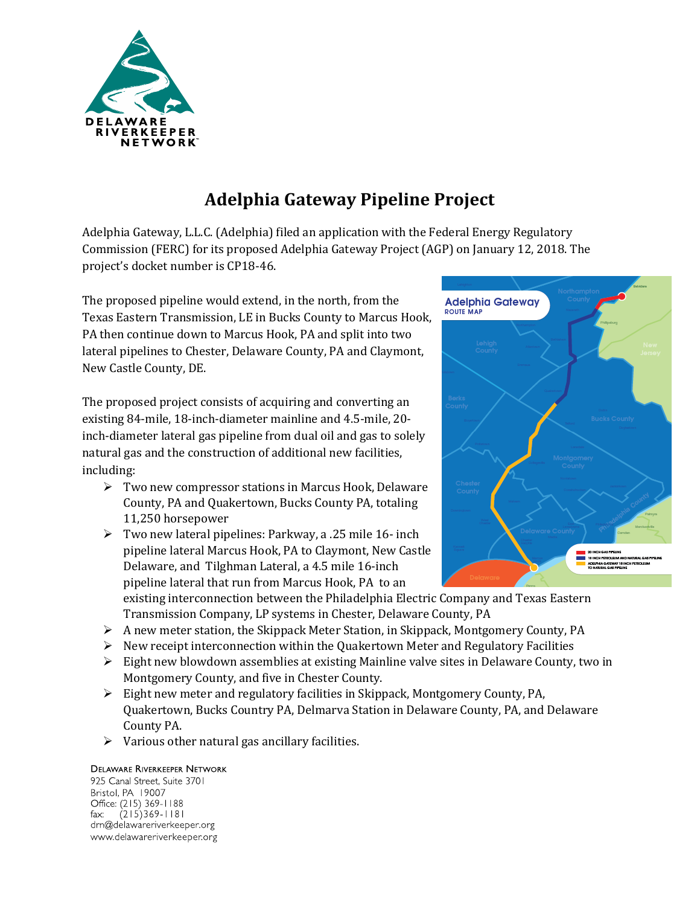

# **Adelphia Gateway Pipeline Project**

Adelphia Gateway, L.L.C. (Adelphia) filed an application with the Federal Energy Regulatory Commission (FERC) for its proposed Adelphia Gateway Project (AGP) on January 12, 2018. The project's docket number is CP18-46.

The proposed pipeline would extend, in the north, from the Texas Eastern Transmission, LE in Bucks County to Marcus Hook, PA then continue down to Marcus Hook, PA and split into two lateral pipelines to Chester, Delaware County, PA and Claymont, New Castle County, DE.

The proposed project consists of acquiring and converting an existing 84-mile, 18-inch-diameter mainline and 4.5-mile, 20 inch-diameter lateral gas pipeline from dual oil and gas to solely natural gas and the construction of additional new facilities, including:

- Two new compressor stations in Marcus Hook, Delaware County, PA and Quakertown, Bucks County PA, totaling 11,250 horsepower
- $\triangleright$  Two new lateral pipelines: Parkway, a .25 mile 16- inch pipeline lateral Marcus Hook, PA to Claymont, New Castle Delaware, and Tilghman Lateral, a 4.5 mile 16-inch pipeline lateral that run from Marcus Hook, PA to an



existing interconnection between the Philadelphia Electric Company and Texas Eastern Transmission Company, LP systems in Chester, Delaware County, PA

- $\triangleright$  A new meter station, the Skippack Meter Station, in Skippack, Montgomery County, PA
- $\triangleright$  New receipt interconnection within the Quakertown Meter and Regulatory Facilities
- $\triangleright$  Eight new blowdown assemblies at existing Mainline valve sites in Delaware County, two in Montgomery County, and five in Chester County.
- $\triangleright$  Eight new meter and regulatory facilities in Skippack, Montgomery County, PA, Quakertown, Bucks Country PA, Delmarva Station in Delaware County, PA, and Delaware County PA.
- $\triangleright$  Various other natural gas ancillary facilities.

#### **DELAWARE RIVERKEEPER NETWORK**

925 Canal Street, Suite 3701 Bristol, PA 19007 Office: (215) 369-1188  $(215)369 - 1181$ fax: drn@delawareriverkeeper.org www.delawareriverkeeper.org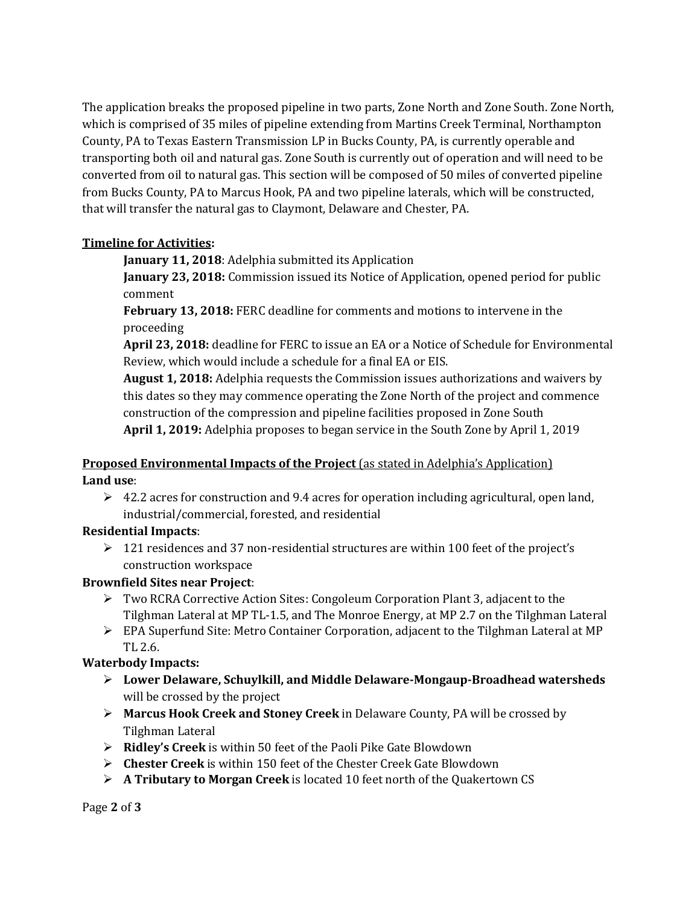The application breaks the proposed pipeline in two parts, Zone North and Zone South. Zone North, which is comprised of 35 miles of pipeline extending from Martins Creek Terminal, Northampton County, PA to Texas Eastern Transmission LP in Bucks County, PA, is currently operable and transporting both oil and natural gas. Zone South is currently out of operation and will need to be converted from oil to natural gas. This section will be composed of 50 miles of converted pipeline from Bucks County, PA to Marcus Hook, PA and two pipeline laterals, which will be constructed, that will transfer the natural gas to Claymont, Delaware and Chester, PA.

## **Timeline for Activities:**

**January 11, 2018**: Adelphia submitted its Application

**January 23, 2018:** Commission issued its Notice of Application, opened period for public comment

**February 13, 2018:** FERC deadline for comments and motions to intervene in the proceeding

**April 23, 2018:** deadline for FERC to issue an EA or a Notice of Schedule for Environmental Review, which would include a schedule for a final EA or EIS.

**August 1, 2018:** Adelphia requests the Commission issues authorizations and waivers by this dates so they may commence operating the Zone North of the project and commence construction of the compression and pipeline facilities proposed in Zone South **April 1, 2019:** Adelphia proposes to began service in the South Zone by April 1, 2019

## **Proposed Environmental Impacts of the Project** (as stated in Adelphia's Application) **Land use**:

 $\triangleright$  42.2 acres for construction and 9.4 acres for operation including agricultural, open land, industrial/commercial, forested, and residential

# **Residential Impacts**:

 $\geq 121$  residences and 37 non-residential structures are within 100 feet of the project's construction workspace

# **Brownfield Sites near Project**:

- Two RCRA Corrective Action Sites: Congoleum Corporation Plant 3, adjacent to the Tilghman Lateral at MP TL-1.5, and The Monroe Energy, at MP 2.7 on the Tilghman Lateral
- $\triangleright$  EPA Superfund Site: Metro Container Corporation, adjacent to the Tilghman Lateral at MP TL 2.6.

# **Waterbody Impacts:**

- **Lower Delaware, Schuylkill, and Middle Delaware-Mongaup-Broadhead watersheds** will be crossed by the project
- **Marcus Hook Creek and Stoney Creek** in Delaware County, PA will be crossed by Tilghman Lateral
- **Ridley's Creek** is within 50 feet of the Paoli Pike Gate Blowdown
- **Chester Creek** is within 150 feet of the Chester Creek Gate Blowdown
- **A Tributary to Morgan Creek** is located 10 feet north of the Quakertown CS

Page **2** of **3**